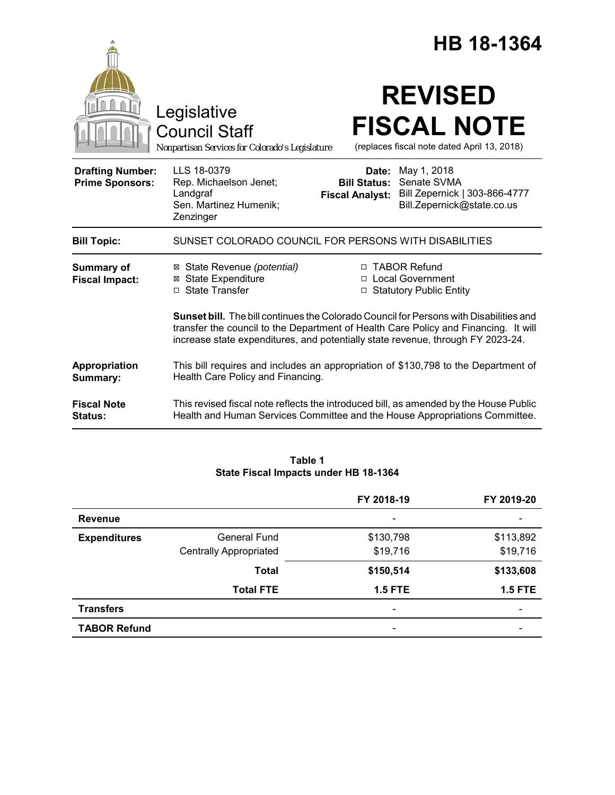|                                                   |                                                                                                                                                                                                                                                                         | HB 18-1364                                             |                                                                   |                                                                   |
|---------------------------------------------------|-------------------------------------------------------------------------------------------------------------------------------------------------------------------------------------------------------------------------------------------------------------------------|--------------------------------------------------------|-------------------------------------------------------------------|-------------------------------------------------------------------|
|                                                   | Legislative<br><b>Council Staff</b><br>Nonpartisan Services for Colorado's Legislature                                                                                                                                                                                  |                                                        | <b>REVISED</b>                                                    | <b>FISCAL NOTE</b><br>(replaces fiscal note dated April 13, 2018) |
| <b>Drafting Number:</b><br><b>Prime Sponsors:</b> | LLS 18-0379<br>Rep. Michaelson Jenet;<br>Landgraf<br>Sen. Martinez Humenik;<br>Zenzinger                                                                                                                                                                                | Date:<br><b>Bill Status:</b><br><b>Fiscal Analyst:</b> | May 1, 2018<br>Senate SVMA                                        | Bill Zepernick   303-866-4777<br>Bill.Zepernick@state.co.us       |
| <b>Bill Topic:</b>                                | SUNSET COLORADO COUNCIL FOR PERSONS WITH DISABILITIES                                                                                                                                                                                                                   |                                                        |                                                                   |                                                                   |
| <b>Summary of</b><br><b>Fiscal Impact:</b>        | ⊠ State Revenue (potential)<br><b>⊠</b> State Expenditure<br>□ State Transfer                                                                                                                                                                                           |                                                        | □ TABOR Refund<br>□ Local Government<br>□ Statutory Public Entity |                                                                   |
|                                                   | <b>Sunset bill.</b> The bill continues the Colorado Council for Persons with Disabilities and<br>transfer the council to the Department of Health Care Policy and Financing. It will<br>increase state expenditures, and potentially state revenue, through FY 2023-24. |                                                        |                                                                   |                                                                   |
| Appropriation<br>Summary:                         | This bill requires and includes an appropriation of \$130,798 to the Department of<br>Health Care Policy and Financing.                                                                                                                                                 |                                                        |                                                                   |                                                                   |
| <b>Fiscal Note</b><br><b>Status:</b>              | This revised fiscal note reflects the introduced bill, as amended by the House Public<br>Health and Human Services Committee and the House Appropriations Committee.                                                                                                    |                                                        |                                                                   |                                                                   |

| Table 1                               |  |  |  |  |
|---------------------------------------|--|--|--|--|
| State Fiscal Impacts under HB 18-1364 |  |  |  |  |

|                     |                               | FY 2018-19               | FY 2019-20     |
|---------------------|-------------------------------|--------------------------|----------------|
| <b>Revenue</b>      |                               | $\overline{\phantom{0}}$ |                |
| <b>Expenditures</b> | <b>General Fund</b>           | \$130,798                | \$113,892      |
|                     | <b>Centrally Appropriated</b> | \$19,716                 | \$19,716       |
|                     | <b>Total</b>                  | \$150,514                | \$133,608      |
|                     | <b>Total FTE</b>              | $1.5$ FTE                | <b>1.5 FTE</b> |
| <b>Transfers</b>    |                               | $\overline{\phantom{0}}$ |                |
| <b>TABOR Refund</b> |                               |                          |                |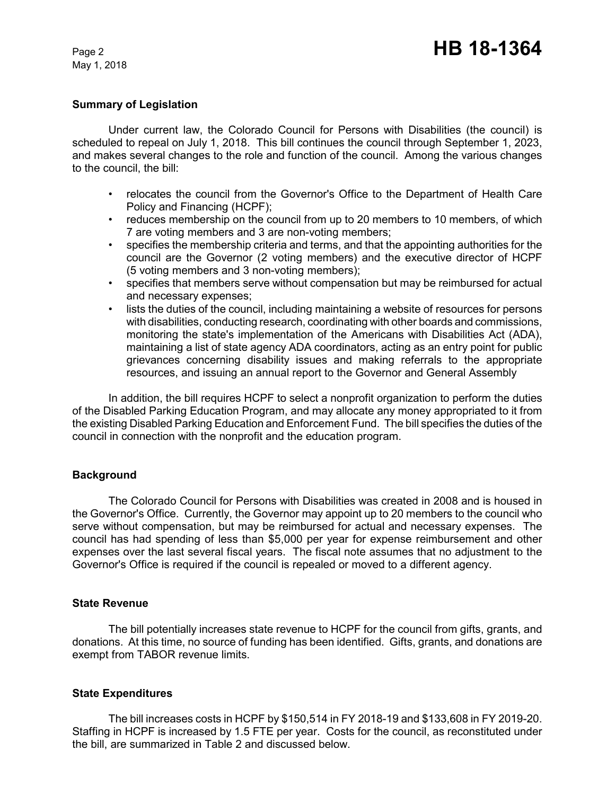May 1, 2018

### **Summary of Legislation**

Under current law, the Colorado Council for Persons with Disabilities (the council) is scheduled to repeal on July 1, 2018. This bill continues the council through September 1, 2023, and makes several changes to the role and function of the council. Among the various changes to the council, the bill:

- relocates the council from the Governor's Office to the Department of Health Care Policy and Financing (HCPF);
- reduces membership on the council from up to 20 members to 10 members, of which 7 are voting members and 3 are non-voting members;
- specifies the membership criteria and terms, and that the appointing authorities for the council are the Governor (2 voting members) and the executive director of HCPF (5 voting members and 3 non-voting members);
- specifies that members serve without compensation but may be reimbursed for actual and necessary expenses;
- lists the duties of the council, including maintaining a website of resources for persons with disabilities, conducting research, coordinating with other boards and commissions, monitoring the state's implementation of the Americans with Disabilities Act (ADA), maintaining a list of state agency ADA coordinators, acting as an entry point for public grievances concerning disability issues and making referrals to the appropriate resources, and issuing an annual report to the Governor and General Assembly

In addition, the bill requires HCPF to select a nonprofit organization to perform the duties of the Disabled Parking Education Program, and may allocate any money appropriated to it from the existing Disabled Parking Education and Enforcement Fund. The bill specifies the duties of the council in connection with the nonprofit and the education program.

# **Background**

The Colorado Council for Persons with Disabilities was created in 2008 and is housed in the Governor's Office. Currently, the Governor may appoint up to 20 members to the council who serve without compensation, but may be reimbursed for actual and necessary expenses. The council has had spending of less than \$5,000 per year for expense reimbursement and other expenses over the last several fiscal years. The fiscal note assumes that no adjustment to the Governor's Office is required if the council is repealed or moved to a different agency.

### **State Revenue**

The bill potentially increases state revenue to HCPF for the council from gifts, grants, and donations. At this time, no source of funding has been identified. Gifts, grants, and donations are exempt from TABOR revenue limits.

# **State Expenditures**

The bill increases costs in HCPF by \$150,514 in FY 2018-19 and \$133,608 in FY 2019-20. Staffing in HCPF is increased by 1.5 FTE per year. Costs for the council, as reconstituted under the bill, are summarized in Table 2 and discussed below.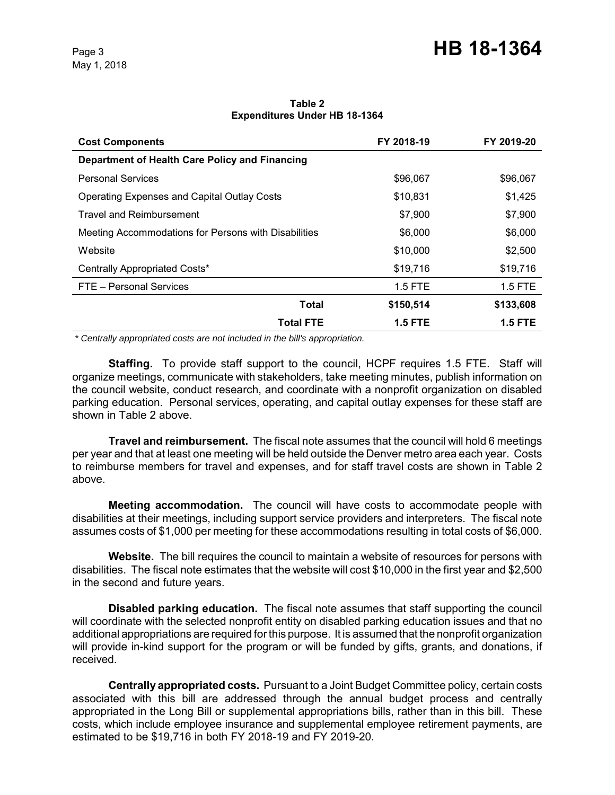#### **Table 2 Expenditures Under HB 18-1364**

| <b>Cost Components</b>                               | FY 2018-19     | FY 2019-20     |
|------------------------------------------------------|----------------|----------------|
| Department of Health Care Policy and Financing       |                |                |
| <b>Personal Services</b>                             | \$96,067       | \$96,067       |
| <b>Operating Expenses and Capital Outlay Costs</b>   | \$10,831       | \$1,425        |
| <b>Travel and Reimbursement</b>                      | \$7,900        | \$7,900        |
| Meeting Accommodations for Persons with Disabilities | \$6,000        | \$6,000        |
| Website                                              | \$10,000       | \$2,500        |
| Centrally Appropriated Costs*                        | \$19,716       | \$19,716       |
| FTE - Personal Services                              | $1.5$ FTE      | $1.5$ FTE      |
| Total                                                | \$150,514      | \$133,608      |
| Total FTE                                            | <b>1.5 FTE</b> | <b>1.5 FTE</b> |

 *\* Centrally appropriated costs are not included in the bill's appropriation.*

**Staffing.** To provide staff support to the council, HCPF requires 1.5 FTE. Staff will organize meetings, communicate with stakeholders, take meeting minutes, publish information on the council website, conduct research, and coordinate with a nonprofit organization on disabled parking education. Personal services, operating, and capital outlay expenses for these staff are shown in Table 2 above.

**Travel and reimbursement.** The fiscal note assumes that the council will hold 6 meetings per year and that at least one meeting will be held outside the Denver metro area each year. Costs to reimburse members for travel and expenses, and for staff travel costs are shown in Table 2 above.

**Meeting accommodation.** The council will have costs to accommodate people with disabilities at their meetings, including support service providers and interpreters. The fiscal note assumes costs of \$1,000 per meeting for these accommodations resulting in total costs of \$6,000.

**Website.** The bill requires the council to maintain a website of resources for persons with disabilities. The fiscal note estimates that the website will cost \$10,000 in the first year and \$2,500 in the second and future years.

**Disabled parking education.** The fiscal note assumes that staff supporting the council will coordinate with the selected nonprofit entity on disabled parking education issues and that no additional appropriations are required for this purpose. It is assumed that the nonprofit organization will provide in-kind support for the program or will be funded by gifts, grants, and donations, if received.

**Centrally appropriated costs.** Pursuant to a Joint Budget Committee policy, certain costs associated with this bill are addressed through the annual budget process and centrally appropriated in the Long Bill or supplemental appropriations bills, rather than in this bill. These costs, which include employee insurance and supplemental employee retirement payments, are estimated to be \$19,716 in both FY 2018-19 and FY 2019-20.